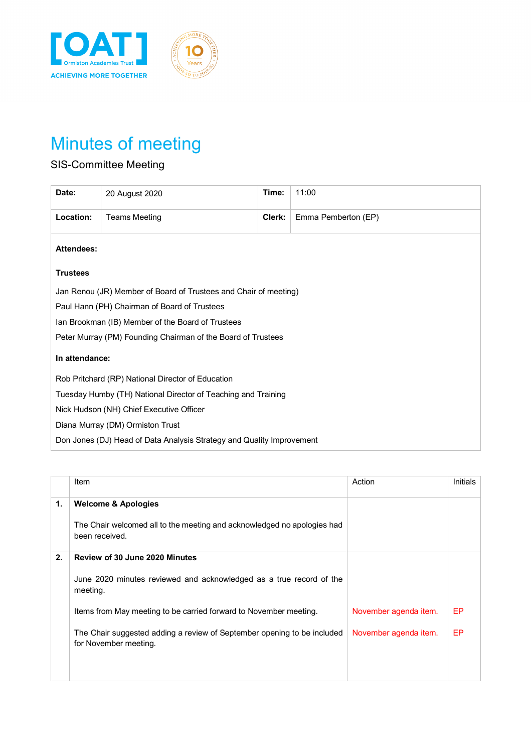

## Minutes of meeting

## SIS-Committee Meeting

| Date:                                                                 | 20 August 2020       | Time:  | 11:00               |  |
|-----------------------------------------------------------------------|----------------------|--------|---------------------|--|
| Location:                                                             | <b>Teams Meeting</b> | Clerk: | Emma Pemberton (EP) |  |
| <b>Attendees:</b>                                                     |                      |        |                     |  |
| <b>Trustees</b>                                                       |                      |        |                     |  |
| Jan Renou (JR) Member of Board of Trustees and Chair of meeting)      |                      |        |                     |  |
| Paul Hann (PH) Chairman of Board of Trustees                          |                      |        |                     |  |
| Ian Brookman (IB) Member of the Board of Trustees                     |                      |        |                     |  |
| Peter Murray (PM) Founding Chairman of the Board of Trustees          |                      |        |                     |  |
| In attendance:                                                        |                      |        |                     |  |
| Rob Pritchard (RP) National Director of Education                     |                      |        |                     |  |
| Tuesday Humby (TH) National Director of Teaching and Training         |                      |        |                     |  |
| Nick Hudson (NH) Chief Executive Officer                              |                      |        |                     |  |
| Diana Murray (DM) Ormiston Trust                                      |                      |        |                     |  |
| Don Jones (DJ) Head of Data Analysis Strategy and Quality Improvement |                      |        |                     |  |

|    | Item                                                                                             | Action                | <b>Initials</b> |
|----|--------------------------------------------------------------------------------------------------|-----------------------|-----------------|
| 1. | <b>Welcome &amp; Apologies</b>                                                                   |                       |                 |
|    | The Chair welcomed all to the meeting and acknowledged no apologies had<br>been received.        |                       |                 |
| 2. | <b>Review of 30 June 2020 Minutes</b>                                                            |                       |                 |
|    | June 2020 minutes reviewed and acknowledged as a true record of the<br>meeting.                  |                       |                 |
|    | Items from May meeting to be carried forward to November meeting.                                | November agenda item. | EP              |
|    | The Chair suggested adding a review of September opening to be included<br>for November meeting. | November agenda item. | EP              |
|    |                                                                                                  |                       |                 |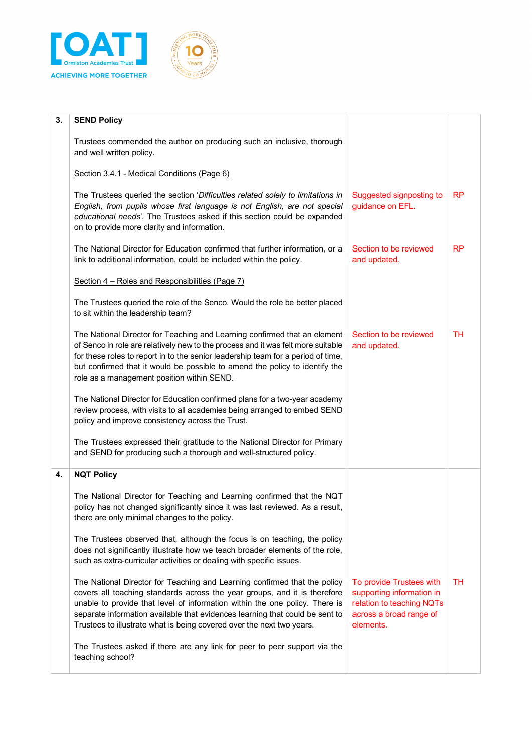



| 3. | <b>SEND Policy</b>                                                                                                                                                                                                                                                                                                                                                                             |                                                                                                                            |           |
|----|------------------------------------------------------------------------------------------------------------------------------------------------------------------------------------------------------------------------------------------------------------------------------------------------------------------------------------------------------------------------------------------------|----------------------------------------------------------------------------------------------------------------------------|-----------|
|    | Trustees commended the author on producing such an inclusive, thorough<br>and well written policy.                                                                                                                                                                                                                                                                                             |                                                                                                                            |           |
|    | Section 3.4.1 - Medical Conditions (Page 6)                                                                                                                                                                                                                                                                                                                                                    |                                                                                                                            |           |
|    | The Trustees queried the section 'Difficulties related solely to limitations in<br>English, from pupils whose first language is not English, are not special<br>educational needs'. The Trustees asked if this section could be expanded<br>on to provide more clarity and information.                                                                                                        | Suggested signposting to<br>guidance on EFL.                                                                               | <b>RP</b> |
|    | The National Director for Education confirmed that further information, or a<br>link to additional information, could be included within the policy.                                                                                                                                                                                                                                           | Section to be reviewed<br>and updated.                                                                                     | <b>RP</b> |
|    | Section 4 - Roles and Responsibilities (Page 7)                                                                                                                                                                                                                                                                                                                                                |                                                                                                                            |           |
|    | The Trustees queried the role of the Senco. Would the role be better placed<br>to sit within the leadership team?                                                                                                                                                                                                                                                                              |                                                                                                                            |           |
|    | The National Director for Teaching and Learning confirmed that an element<br>of Senco in role are relatively new to the process and it was felt more suitable<br>for these roles to report in to the senior leadership team for a period of time,<br>but confirmed that it would be possible to amend the policy to identify the<br>role as a management position within SEND.                 | Section to be reviewed<br>and updated.                                                                                     | TH        |
|    | The National Director for Education confirmed plans for a two-year academy<br>review process, with visits to all academies being arranged to embed SEND<br>policy and improve consistency across the Trust.                                                                                                                                                                                    |                                                                                                                            |           |
|    | The Trustees expressed their gratitude to the National Director for Primary<br>and SEND for producing such a thorough and well-structured policy.                                                                                                                                                                                                                                              |                                                                                                                            |           |
| 4. | <b>NQT Policy</b>                                                                                                                                                                                                                                                                                                                                                                              |                                                                                                                            |           |
|    | The National Director for Teaching and Learning confirmed that the NQT<br>policy has not changed significantly since it was last reviewed. As a result,<br>there are only minimal changes to the policy.                                                                                                                                                                                       |                                                                                                                            |           |
|    | The Trustees observed that, although the focus is on teaching, the policy<br>does not significantly illustrate how we teach broader elements of the role,<br>such as extra-curricular activities or dealing with specific issues.                                                                                                                                                              |                                                                                                                            |           |
|    | The National Director for Teaching and Learning confirmed that the policy<br>covers all teaching standards across the year groups, and it is therefore<br>unable to provide that level of information within the one policy. There is<br>separate information available that evidences learning that could be sent to<br>Trustees to illustrate what is being covered over the next two years. | To provide Trustees with<br>supporting information in<br>relation to teaching NQTs<br>across a broad range of<br>elements. | TН        |
|    | The Trustees asked if there are any link for peer to peer support via the<br>teaching school?                                                                                                                                                                                                                                                                                                  |                                                                                                                            |           |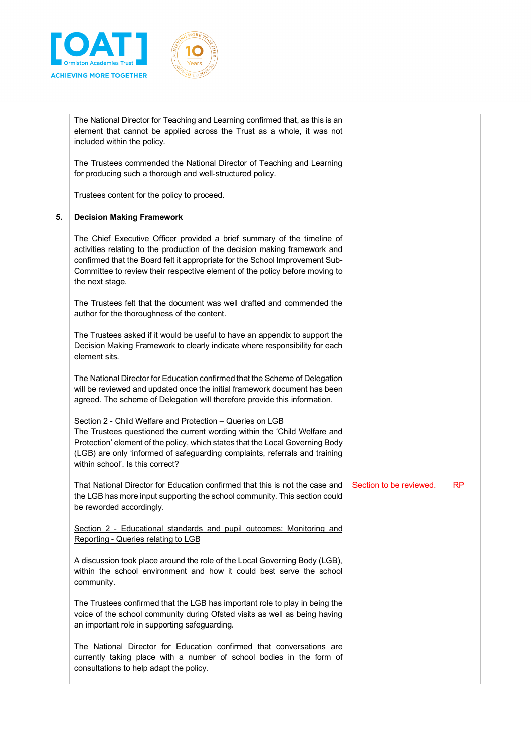

|    | The National Director for Teaching and Learning confirmed that, as this is an<br>element that cannot be applied across the Trust as a whole, it was not<br>included within the policy.                                                                                                                                                     |                         |    |
|----|--------------------------------------------------------------------------------------------------------------------------------------------------------------------------------------------------------------------------------------------------------------------------------------------------------------------------------------------|-------------------------|----|
|    | The Trustees commended the National Director of Teaching and Learning<br>for producing such a thorough and well-structured policy.                                                                                                                                                                                                         |                         |    |
|    | Trustees content for the policy to proceed.                                                                                                                                                                                                                                                                                                |                         |    |
| 5. | <b>Decision Making Framework</b>                                                                                                                                                                                                                                                                                                           |                         |    |
|    | The Chief Executive Officer provided a brief summary of the timeline of<br>activities relating to the production of the decision making framework and<br>confirmed that the Board felt it appropriate for the School Improvement Sub-<br>Committee to review their respective element of the policy before moving to<br>the next stage.    |                         |    |
|    | The Trustees felt that the document was well drafted and commended the<br>author for the thoroughness of the content.                                                                                                                                                                                                                      |                         |    |
|    | The Trustees asked if it would be useful to have an appendix to support the<br>Decision Making Framework to clearly indicate where responsibility for each<br>element sits.                                                                                                                                                                |                         |    |
|    | The National Director for Education confirmed that the Scheme of Delegation<br>will be reviewed and updated once the initial framework document has been<br>agreed. The scheme of Delegation will therefore provide this information.                                                                                                      |                         |    |
|    | Section 2 - Child Welfare and Protection - Queries on LGB<br>The Trustees questioned the current wording within the 'Child Welfare and<br>Protection' element of the policy, which states that the Local Governing Body<br>(LGB) are only 'informed of safeguarding complaints, referrals and training<br>within school'. Is this correct? |                         |    |
|    | That National Director for Education confirmed that this is not the case and<br>the LGB has more input supporting the school community. This section could<br>be reworded accordingly.                                                                                                                                                     | Section to be reviewed. | RP |
|    | Section 2 - Educational standards and pupil outcomes: Monitoring and<br>Reporting - Queries relating to LGB                                                                                                                                                                                                                                |                         |    |
|    | A discussion took place around the role of the Local Governing Body (LGB),<br>within the school environment and how it could best serve the school<br>community.                                                                                                                                                                           |                         |    |
|    | The Trustees confirmed that the LGB has important role to play in being the<br>voice of the school community during Ofsted visits as well as being having<br>an important role in supporting safeguarding.                                                                                                                                 |                         |    |
|    | The National Director for Education confirmed that conversations are<br>currently taking place with a number of school bodies in the form of<br>consultations to help adapt the policy.                                                                                                                                                    |                         |    |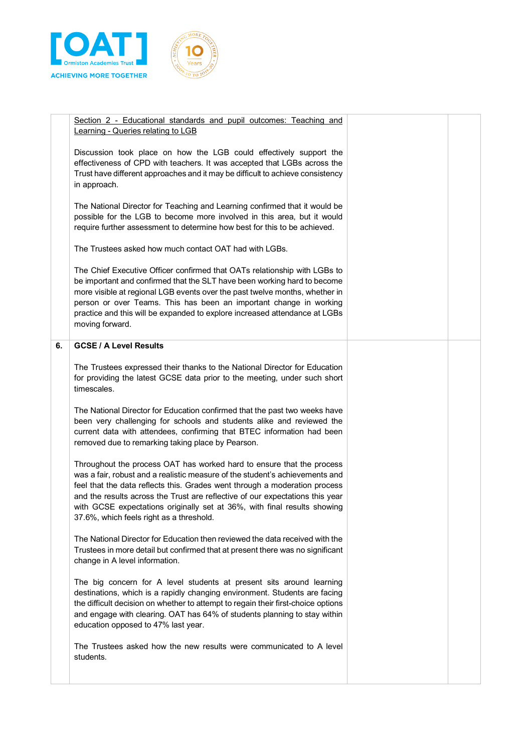

|    | Section 2 - Educational standards and pupil outcomes: Teaching and<br>Learning - Queries relating to LGB                                                                                                                                                                                                                                                                                                                                     |  |
|----|----------------------------------------------------------------------------------------------------------------------------------------------------------------------------------------------------------------------------------------------------------------------------------------------------------------------------------------------------------------------------------------------------------------------------------------------|--|
|    | Discussion took place on how the LGB could effectively support the<br>effectiveness of CPD with teachers. It was accepted that LGBs across the<br>Trust have different approaches and it may be difficult to achieve consistency<br>in approach.                                                                                                                                                                                             |  |
|    | The National Director for Teaching and Learning confirmed that it would be<br>possible for the LGB to become more involved in this area, but it would<br>require further assessment to determine how best for this to be achieved.                                                                                                                                                                                                           |  |
|    | The Trustees asked how much contact OAT had with LGBs.                                                                                                                                                                                                                                                                                                                                                                                       |  |
|    | The Chief Executive Officer confirmed that OATs relationship with LGBs to<br>be important and confirmed that the SLT have been working hard to become<br>more visible at regional LGB events over the past twelve months, whether in<br>person or over Teams. This has been an important change in working<br>practice and this will be expanded to explore increased attendance at LGBs<br>moving forward.                                  |  |
| 6. | <b>GCSE / A Level Results</b>                                                                                                                                                                                                                                                                                                                                                                                                                |  |
|    | The Trustees expressed their thanks to the National Director for Education<br>for providing the latest GCSE data prior to the meeting, under such short<br>timescales.                                                                                                                                                                                                                                                                       |  |
|    | The National Director for Education confirmed that the past two weeks have<br>been very challenging for schools and students alike and reviewed the<br>current data with attendees, confirming that BTEC information had been<br>removed due to remarking taking place by Pearson.                                                                                                                                                           |  |
|    | Throughout the process OAT has worked hard to ensure that the process<br>was a fair, robust and a realistic measure of the student's achievements and<br>feel that the data reflects this. Grades went through a moderation process<br>and the results across the Trust are reflective of our expectations this year<br>with GCSE expectations originally set at 36%, with final results showing<br>37.6%, which feels right as a threshold. |  |
|    | The National Director for Education then reviewed the data received with the<br>Trustees in more detail but confirmed that at present there was no significant<br>change in A level information.                                                                                                                                                                                                                                             |  |
|    | The big concern for A level students at present sits around learning<br>destinations, which is a rapidly changing environment. Students are facing<br>the difficult decision on whether to attempt to regain their first-choice options<br>and engage with clearing. OAT has 64% of students planning to stay within<br>education opposed to 47% last year.                                                                                  |  |
|    | The Trustees asked how the new results were communicated to A level<br>students.                                                                                                                                                                                                                                                                                                                                                             |  |
|    |                                                                                                                                                                                                                                                                                                                                                                                                                                              |  |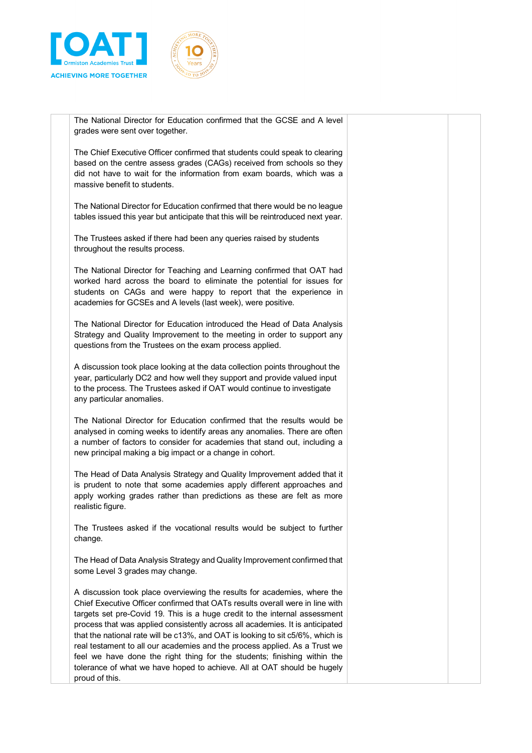



The National Director for Education confirmed that the GCSE and A level grades were sent over together.

The Chief Executive Officer confirmed that students could speak to clearing based on the centre assess grades (CAGs) received from schools so they did not have to wait for the information from exam boards, which was a massive benefit to students.

The National Director for Education confirmed that there would be no league tables issued this year but anticipate that this will be reintroduced next year.

The Trustees asked if there had been any queries raised by students throughout the results process.

The National Director for Teaching and Learning confirmed that OAT had worked hard across the board to eliminate the potential for issues for students on CAGs and were happy to report that the experience in academies for GCSEs and A levels (last week), were positive.

The National Director for Education introduced the Head of Data Analysis Strategy and Quality Improvement to the meeting in order to support any questions from the Trustees on the exam process applied.

A discussion took place looking at the data collection points throughout the year, particularly DC2 and how well they support and provide valued input to the process. The Trustees asked if OAT would continue to investigate any particular anomalies.

The National Director for Education confirmed that the results would be analysed in coming weeks to identify areas any anomalies. There are often a number of factors to consider for academies that stand out, including a new principal making a big impact or a change in cohort.

The Head of Data Analysis Strategy and Quality Improvement added that it is prudent to note that some academies apply different approaches and apply working grades rather than predictions as these are felt as more realistic figure.

The Trustees asked if the vocational results would be subject to further change.

The Head of Data Analysis Strategy and Quality Improvement confirmed that some Level 3 grades may change.

A discussion took place overviewing the results for academies, where the Chief Executive Officer confirmed that OATs results overall were in line with targets set pre-Covid 19. This is a huge credit to the internal assessment process that was applied consistently across all academies. It is anticipated that the national rate will be c13%, and OAT is looking to sit c5/6%, which is real testament to all our academies and the process applied. As a Trust we feel we have done the right thing for the students; finishing within the tolerance of what we have hoped to achieve. All at OAT should be hugely proud of this.